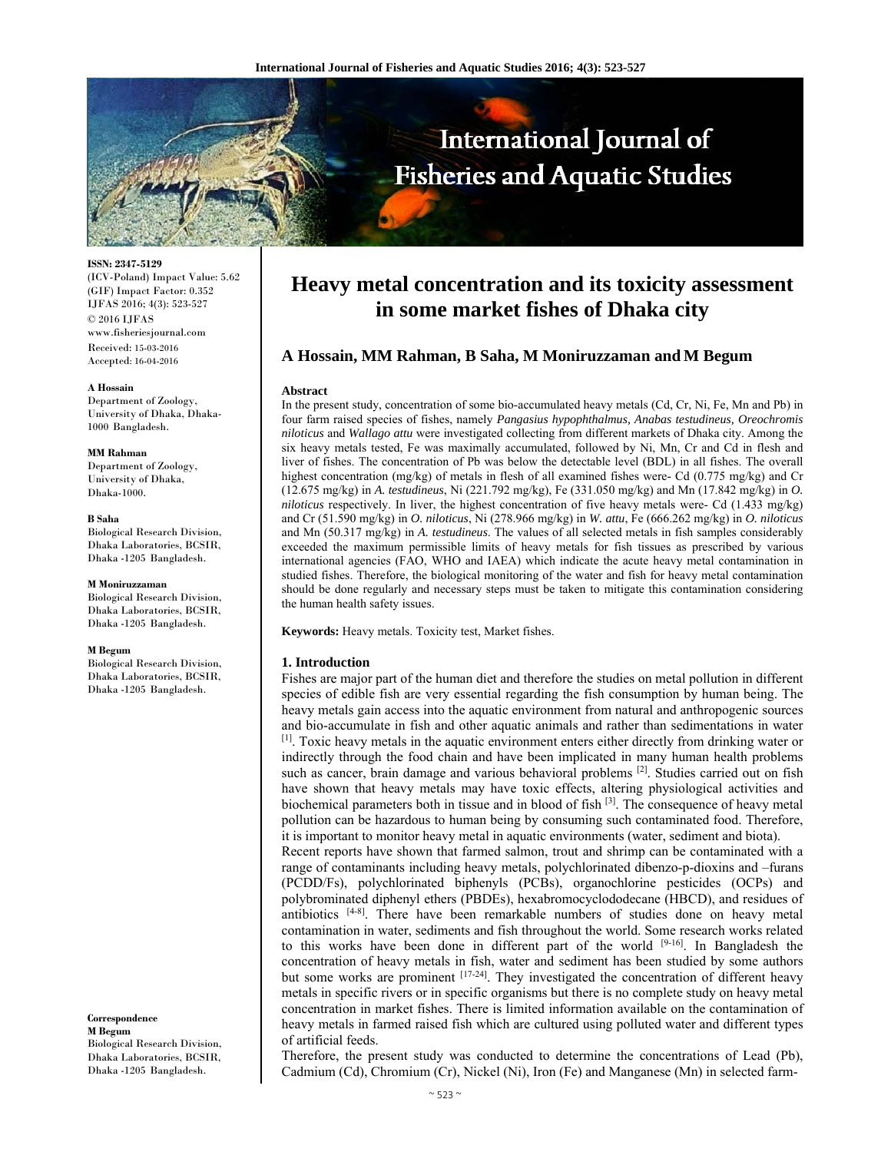

**ISSN: 2347-5129**  (ICV-Poland) Impact Value: 5.62 (GIF) Impact Factor: 0.352 IJFAS 2016; 4(3): 523-527 © 2016 IJFAS www.fisheriesjournal.com Received: 15-03-2016 Accepted: 16-04-2016

#### **A Hossain**

Department of Zoology, University of Dhaka, Dhaka-1000 Bangladesh.

#### **MM Rahman**

Department of Zoology, University of Dhaka, Dhaka-1000.

# **B Saha**

Biological Research Division, Dhaka Laboratories, BCSIR, Dhaka -1205 Bangladesh.

#### **M Moniruzzaman**

Biological Research Division, Dhaka Laboratories, BCSIR, Dhaka -1205 Bangladesh.

#### **M Begum**

Biological Research Division, Dhaka Laboratories, BCSIR, Dhaka -1205 Bangladesh.

**Correspondence M Begum**  Biological Research Division, Dhaka Laboratories, BCSIR, Dhaka -1205 Bangladesh.

# **Heavy metal concentration and its toxicity assessment in some market fishes of Dhaka city**

# **A Hossain, MM Rahman, B Saha, M Moniruzzaman and M Begum**

#### **Abstract**

In the present study, concentration of some bio-accumulated heavy metals (Cd, Cr, Ni, Fe, Mn and Pb) in four farm raised species of fishes, namely *Pangasius hypophthalmus, Anabas testudineus, Oreochromis niloticus* and *Wallago attu* were investigated collecting from different markets of Dhaka city. Among the six heavy metals tested, Fe was maximally accumulated, followed by Ni, Mn, Cr and Cd in flesh and liver of fishes. The concentration of Pb was below the detectable level (BDL) in all fishes. The overall highest concentration (mg/kg) of metals in flesh of all examined fishes were- Cd (0.775 mg/kg) and Cr (12.675 mg/kg) in *A. testudineus*, Ni (221.792 mg/kg), Fe (331.050 mg/kg) and Mn (17.842 mg/kg) in *O. niloticus* respectively. In liver, the highest concentration of five heavy metals were- Cd (1.433 mg/kg) and Cr (51.590 mg/kg) in *O. niloticus*, Ni (278.966 mg/kg) in *W. attu*, Fe (666.262 mg/kg) in *O. niloticus* and Mn (50.317 mg/kg) in *A. testudineus*. The values of all selected metals in fish samples considerably exceeded the maximum permissible limits of heavy metals for fish tissues as prescribed by various international agencies (FAO, WHO and IAEA) which indicate the acute heavy metal contamination in studied fishes. Therefore, the biological monitoring of the water and fish for heavy metal contamination should be done regularly and necessary steps must be taken to mitigate this contamination considering the human health safety issues.

**Keywords:** Heavy metals. Toxicity test, Market fishes.

#### **1. Introduction**

Fishes are major part of the human diet and therefore the studies on metal pollution in different species of edible fish are very essential regarding the fish consumption by human being. The heavy metals gain access into the aquatic environment from natural and anthropogenic sources and bio-accumulate in fish and other aquatic animals and rather than sedimentations in water [1]. Toxic heavy metals in the aquatic environment enters either directly from drinking water or indirectly through the food chain and have been implicated in many human health problems such as cancer, brain damage and various behavioral problems [2]. Studies carried out on fish have shown that heavy metals may have toxic effects, altering physiological activities and biochemical parameters both in tissue and in blood of fish  $[3]$ . The consequence of heavy metal pollution can be hazardous to human being by consuming such contaminated food. Therefore, it is important to monitor heavy metal in aquatic environments (water, sediment and biota).

Recent reports have shown that farmed salmon, trout and shrimp can be contaminated with a range of contaminants including heavy metals, polychlorinated dibenzo-p-dioxins and –furans (PCDD/Fs), polychlorinated biphenyls (PCBs), organochlorine pesticides (OCPs) and polybrominated diphenyl ethers (PBDEs), hexabromocyclododecane (HBCD), and residues of antibiotics  $[4-8]$ . There have been remarkable numbers of studies done on heavy metal contamination in water, sediments and fish throughout the world. Some research works related to this works have been done in different part of the world [9-16]. In Bangladesh the concentration of heavy metals in fish, water and sediment has been studied by some authors but some works are prominent [17-24]. They investigated the concentration of different heavy metals in specific rivers or in specific organisms but there is no complete study on heavy metal concentration in market fishes. There is limited information available on the contamination of heavy metals in farmed raised fish which are cultured using polluted water and different types of artificial feeds.

Therefore, the present study was conducted to determine the concentrations of Lead (Pb), Cadmium (Cd), Chromium (Cr), Nickel (Ni), Iron (Fe) and Manganese (Mn) in selected farm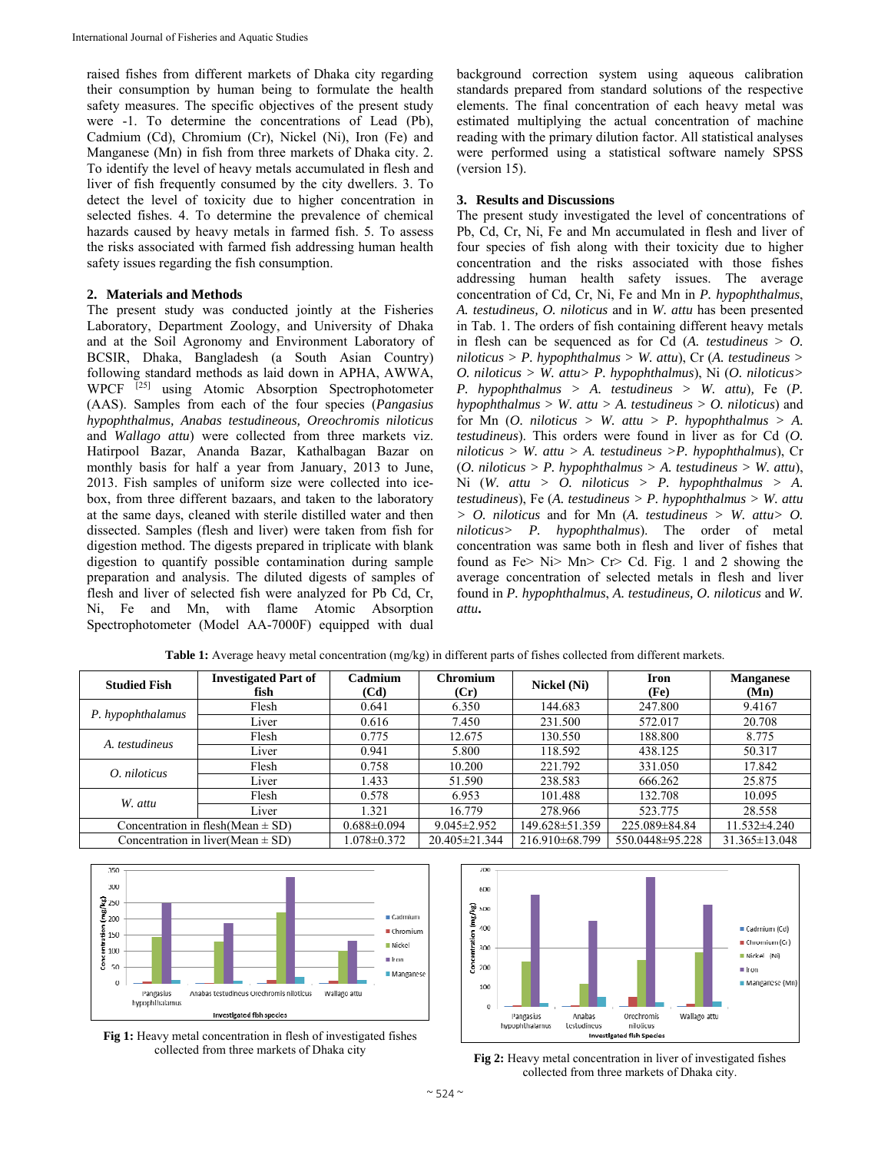raised fishes from different markets of Dhaka city regarding their consumption by human being to formulate the health safety measures. The specific objectives of the present study were -1. To determine the concentrations of Lead (Pb), Cadmium (Cd), Chromium (Cr), Nickel (Ni), Iron (Fe) and Manganese (Mn) in fish from three markets of Dhaka city. 2. To identify the level of heavy metals accumulated in flesh and liver of fish frequently consumed by the city dwellers. 3. To detect the level of toxicity due to higher concentration in selected fishes. 4. To determine the prevalence of chemical hazards caused by heavy metals in farmed fish. 5. To assess the risks associated with farmed fish addressing human health safety issues regarding the fish consumption.

## **2. Materials and Methods**

The present study was conducted jointly at the Fisheries Laboratory, Department Zoology, and University of Dhaka and at the Soil Agronomy and Environment Laboratory of BCSIR, Dhaka, Bangladesh (a South Asian Country) following standard methods as laid down in APHA, AWWA, WPCF<sup>[25]</sup> using Atomic Absorption Spectrophotometer (AAS). Samples from each of the four species (*Pangasius hypophthalmus, Anabas testudineous, Oreochromis niloticus*  and *Wallago attu*) were collected from three markets viz. Hatirpool Bazar, Ananda Bazar, Kathalbagan Bazar on monthly basis for half a year from January, 2013 to June, 2013. Fish samples of uniform size were collected into icebox, from three different bazaars, and taken to the laboratory at the same days, cleaned with sterile distilled water and then dissected. Samples (flesh and liver) were taken from fish for digestion method. The digests prepared in triplicate with blank digestion to quantify possible contamination during sample preparation and analysis. The diluted digests of samples of flesh and liver of selected fish were analyzed for Pb Cd, Cr, Ni, Fe and Mn, with flame Atomic Absorption Spectrophotometer (Model AA-7000F) equipped with dual

background correction system using aqueous calibration standards prepared from standard solutions of the respective elements. The final concentration of each heavy metal was estimated multiplying the actual concentration of machine reading with the primary dilution factor. All statistical analyses were performed using a statistical software namely SPSS (version 15).

## **3. Results and Discussions**

The present study investigated the level of concentrations of Pb, Cd, Cr, Ni, Fe and Mn accumulated in flesh and liver of four species of fish along with their toxicity due to higher concentration and the risks associated with those fishes addressing human health safety issues. The average concentration of Cd, Cr, Ni, Fe and Mn in *P. hypophthalmus*, *A. testudineus, O. niloticus* and in *W. attu* has been presented in Tab. 1. The orders of fish containing different heavy metals in flesh can be sequenced as for Cd  $(A.$  *testudineus*  $> 0$ . *niloticus > P. hypophthalmus > W. attu*), Cr (*A. testudineus > O. niloticus > W. attu> P. hypophthalmus*), Ni (*O. niloticus> P. hypophthalmus > A. testudineus > W. attu*)*,* Fe (*P. hypophthalmus > W. attu > A. testudineus > O. niloticus*) and for Mn  $(O.$  niloticus > W. attu > P. hypophthalmus > A. *testudineus*). This orders were found in liver as for Cd (*O. niloticus > W. attu > A. testudineus >P. hypophthalmus*), Cr (*O. niloticus > P. hypophthalmus > A. testudineus > W. attu*), Ni (*W. attu > O. niloticus > P. hypophthalmus > A. testudineus*), Fe (*A. testudineus > P. hypophthalmus > W. attu > O. niloticus* and for Mn (*A. testudineus > W. attu> O. niloticus> P. hypophthalmus*). The order of metal concentration was same both in flesh and liver of fishes that found as Fe> Ni> Mn> Cr> Cd. Fig. 1 and 2 showing the average concentration of selected metals in flesh and liver found in *P. hypophthalmus*, *A. testudineus, O. niloticus* and *W. attu***.** 

| <b>Studied Fish</b>                   | <b>Investigated Part of</b><br>fish | Cadmium<br>(Cd)   | Chromium<br>(Cr)  | Nickel (Ni)    | <b>Iron</b><br>(F <sub>e</sub> ) | <b>Manganese</b><br>(Mn) |
|---------------------------------------|-------------------------------------|-------------------|-------------------|----------------|----------------------------------|--------------------------|
| P. hypophthalamus                     | Flesh                               | 0.641             | 6.350             | 144.683        | 247.800                          | 9.4167                   |
|                                       | Liver                               | 0.616             | 7.450             | 231.500        | 572.017                          | 20.708                   |
| A. testudineus                        | Flesh                               | 0.775             | 12.675            | 130.550        | 188.800                          | 8.775                    |
|                                       | Liver                               | 0.941             | 5.800             | 118.592        | 438.125                          | 50.317                   |
| O. niloticus                          | Flesh                               | 0.758             | 10.200            | 221.792        | 331.050                          | 17.842                   |
|                                       | Liver                               | 1.433             | 51.590            | 238.583        | 666.262                          | 25.875                   |
| W. attu                               | Flesh                               | 0.578             | 6.953             | 101.488        | 132.708                          | 10.095                   |
|                                       | Liver                               | 1.321             | 16.779            | 278.966        | 523.775                          | 28.558                   |
| Concentration in flesh(Mean $\pm$ SD) |                                     | $0.688 \pm 0.094$ | $9.045 \pm 2.952$ | 149.628±51.359 | 225.089±84.84                    | 11.532±4.240             |
| Concentration in liver(Mean $\pm$ SD) |                                     | $1.078 \pm 0.372$ | 20.405±21.344     | 216.910±68.799 | 550.0448±95.228                  | 31.365±13.048            |

**Table 1:** Average heavy metal concentration (mg/kg) in different parts of fishes collected from different markets.



**Fig 1:** Heavy metal concentration in flesh of investigated fishes



collected from three markets of Dhaka city **Fig 2:** Heavy metal concentration in liver of investigated fishes collected from three markets of Dhaka city.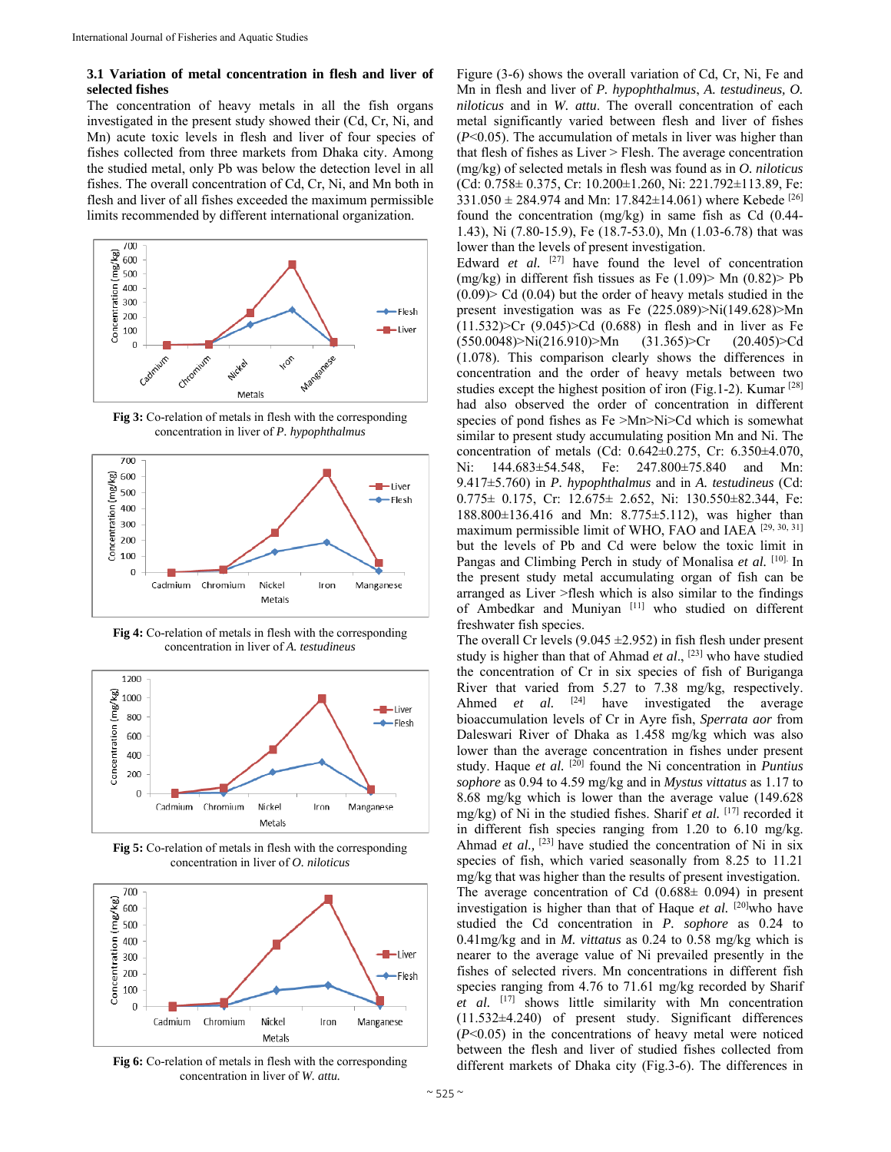# **3.1 Variation of metal concentration in flesh and liver of selected fishes**

The concentration of heavy metals in all the fish organs investigated in the present study showed their (Cd, Cr, Ni, and Mn) acute toxic levels in flesh and liver of four species of fishes collected from three markets from Dhaka city. Among the studied metal, only Pb was below the detection level in all fishes. The overall concentration of Cd, Cr, Ni, and Mn both in flesh and liver of all fishes exceeded the maximum permissible limits recommended by different international organization.



**Fig 3:** Co-relation of metals in flesh with the corresponding concentration in liver of *P. hypophthalmus*



**Fig 4:** Co-relation of metals in flesh with the corresponding concentration in liver of *A. testudineus*



**Fig 5:** Co-relation of metals in flesh with the corresponding concentration in liver of *O. niloticus* 



**Fig 6:** Co-relation of metals in flesh with the corresponding concentration in liver of *W. attu.*

Figure (3-6) shows the overall variation of Cd, Cr, Ni, Fe and Mn in flesh and liver of *P. hypophthalmus*, *A. testudineus, O. niloticus* and in *W. attu*. The overall concentration of each metal significantly varied between flesh and liver of fishes (*P*<0.05). The accumulation of metals in liver was higher than that flesh of fishes as Liver > Flesh. The average concentration (mg/kg) of selected metals in flesh was found as in *O. niloticus*  (Cd: 0.758± 0.375, Cr: 10.200±1.260, Ni: 221.792±113.89, Fe:  $331.050 \pm 284.974$  and Mn:  $17.842 \pm 14.061$ ) where Kebede <sup>[26]</sup> found the concentration (mg/kg) in same fish as Cd (0.44- 1.43), Ni (7.80-15.9), Fe (18.7-53.0), Mn (1.03-6.78) that was lower than the levels of present investigation.

Edward *et al.* <sup>[27]</sup> have found the level of concentration (mg/kg) in different fish tissues as Fe  $(1.09)$  Mn  $(0.82)$  Pb  $(0.09)$  Cd  $(0.04)$  but the order of heavy metals studied in the present investigation was as Fe (225.089)>Ni(149.628)>Mn  $(11.532)$  > Cr  $(9.045)$  > Cd  $(0.688)$  in flesh and in liver as Fe  $(550.0048)$ >Ni $(216.910)$ >Mn  $(31.365)$ >Cr  $(20.405)$ >Cd (1.078). This comparison clearly shows the differences in concentration and the order of heavy metals between two studies except the highest position of iron (Fig.1-2). Kumar [28] had also observed the order of concentration in different species of pond fishes as Fe >Mn>Ni>Cd which is somewhat similar to present study accumulating position Mn and Ni. The concentration of metals (Cd: 0.642±0.275, Cr: 6.350±4.070, Ni: 144.683±54.548, Fe: 247.800±75.840 and Mn: 9.417±5.760) in *P. hypophthalmus* and in *A. testudineus* (Cd:  $0.775 \pm 0.175$ , Cr:  $12.675 \pm 2.652$ , Ni:  $130.550 \pm 82.344$ , Fe: 188.800±136.416 and Mn: 8.775±5.112), was higher than maximum permissible limit of WHO, FAO and IAEA [29, 30, 31] but the levels of Pb and Cd were below the toxic limit in Pangas and Climbing Perch in study of Monalisa *et al.* [10]. In the present study metal accumulating organ of fish can be arranged as Liver >flesh which is also similar to the findings of Ambedkar and Muniyan [11] who studied on different freshwater fish species.

The overall Cr levels (9.045  $\pm$ 2.952) in fish flesh under present study is higher than that of Ahmad *et al*., [23] who have studied the concentration of Cr in six species of fish of Buriganga River that varied from 5.27 to 7.38 mg/kg, respectively. Ahmed *et al.* <sup>[24]</sup> have investigated the average bioaccumulation levels of Cr in Ayre fish, *Sperrata aor* from Daleswari River of Dhaka as 1.458 mg/kg which was also lower than the average concentration in fishes under present study. Haque *et al.* [20] found the Ni concentration in *Puntius sophore* as 0.94 to 4.59 mg/kg and in *Mystus vittatus* as 1.17 to 8.68 mg/kg which is lower than the average value (149.628 mg/kg) of Ni in the studied fishes. Sharif *et al.* [17] recorded it in different fish species ranging from 1.20 to 6.10 mg/kg. Ahmad *et al.,* [23] have studied the concentration of Ni in six species of fish, which varied seasonally from 8.25 to 11.21 mg/kg that was higher than the results of present investigation. The average concentration of Cd  $(0.688±0.094)$  in present investigation is higher than that of Haque et al. <sup>[20]</sup>who have studied the Cd concentration in *P. sophore* as 0.24 to 0.41mg/kg and in *M. vittatus* as 0.24 to 0.58 mg/kg which is nearer to the average value of Ni prevailed presently in the fishes of selected rivers. Mn concentrations in different fish species ranging from 4.76 to 71.61 mg/kg recorded by Sharif *et al.* [17] shows little similarity with Mn concentration (11.532±4.240) of present study. Significant differences (*P*<0.05) in the concentrations of heavy metal were noticed between the flesh and liver of studied fishes collected from different markets of Dhaka city (Fig.3-6). The differences in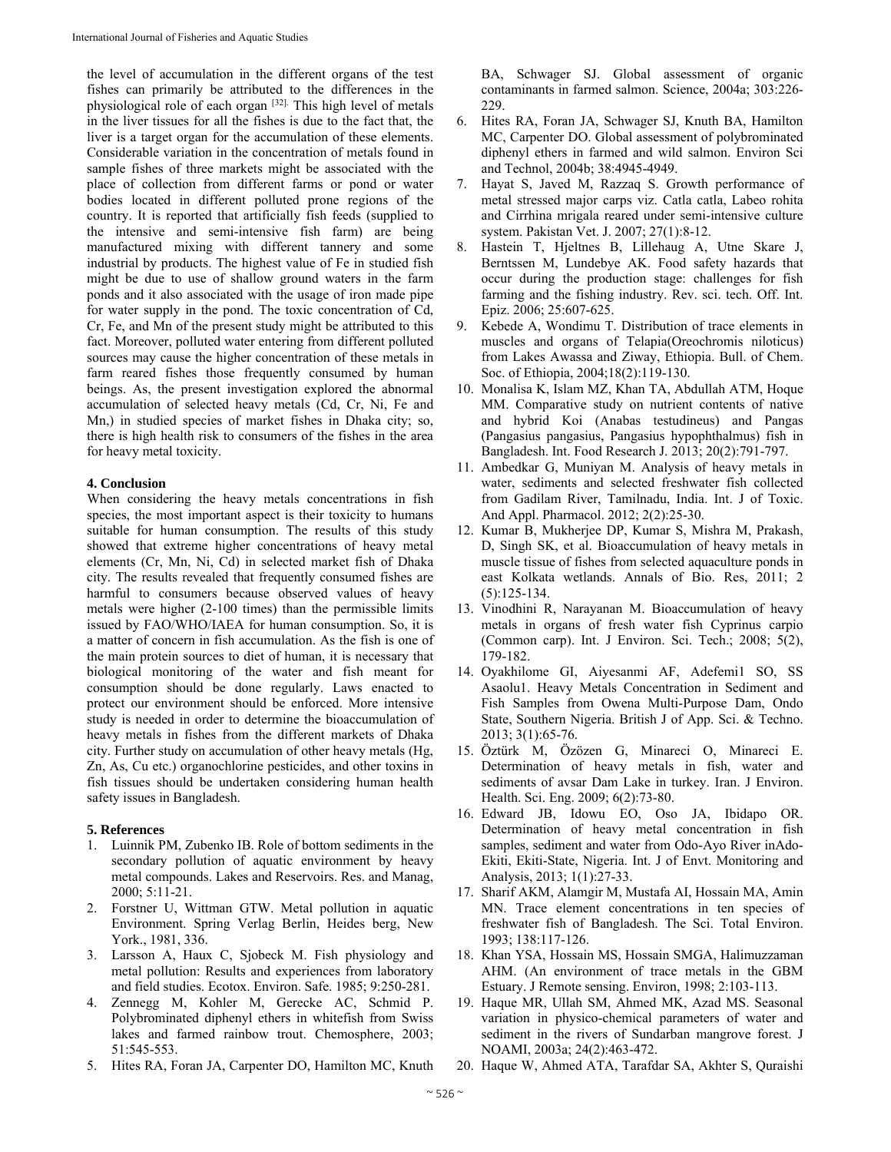the level of accumulation in the different organs of the test fishes can primarily be attributed to the differences in the physiological role of each organ [32]. This high level of metals in the liver tissues for all the fishes is due to the fact that, the liver is a target organ for the accumulation of these elements. Considerable variation in the concentration of metals found in sample fishes of three markets might be associated with the place of collection from different farms or pond or water bodies located in different polluted prone regions of the country. It is reported that artificially fish feeds (supplied to the intensive and semi-intensive fish farm) are being manufactured mixing with different tannery and some industrial by products. The highest value of Fe in studied fish might be due to use of shallow ground waters in the farm ponds and it also associated with the usage of iron made pipe for water supply in the pond. The toxic concentration of Cd, Cr, Fe, and Mn of the present study might be attributed to this fact. Moreover, polluted water entering from different polluted sources may cause the higher concentration of these metals in farm reared fishes those frequently consumed by human beings. As, the present investigation explored the abnormal accumulation of selected heavy metals (Cd, Cr, Ni, Fe and Mn,) in studied species of market fishes in Dhaka city; so, there is high health risk to consumers of the fishes in the area for heavy metal toxicity.

## **4. Conclusion**

When considering the heavy metals concentrations in fish species, the most important aspect is their toxicity to humans suitable for human consumption. The results of this study showed that extreme higher concentrations of heavy metal elements (Cr, Mn, Ni, Cd) in selected market fish of Dhaka city. The results revealed that frequently consumed fishes are harmful to consumers because observed values of heavy metals were higher (2-100 times) than the permissible limits issued by FAO/WHO/IAEA for human consumption. So, it is a matter of concern in fish accumulation. As the fish is one of the main protein sources to diet of human, it is necessary that biological monitoring of the water and fish meant for consumption should be done regularly. Laws enacted to protect our environment should be enforced. More intensive study is needed in order to determine the bioaccumulation of heavy metals in fishes from the different markets of Dhaka city. Further study on accumulation of other heavy metals (Hg, Zn, As, Cu etc.) organochlorine pesticides, and other toxins in fish tissues should be undertaken considering human health safety issues in Bangladesh.

## **5. References**

- 1. Luinnik PM, Zubenko IB. Role of bottom sediments in the secondary pollution of aquatic environment by heavy metal compounds. Lakes and Reservoirs. Res. and Manag, 2000; 5:11-21.
- 2. Forstner U, Wittman GTW. Metal pollution in aquatic Environment. Spring Verlag Berlin, Heides berg, New York., 1981, 336.
- 3. Larsson A, Haux C, Sjobeck M. Fish physiology and metal pollution: Results and experiences from laboratory and field studies. Ecotox. Environ. Safe. 1985; 9:250-281.
- 4. Zennegg M, Kohler M, Gerecke AC, Schmid P. Polybrominated diphenyl ethers in whitefish from Swiss lakes and farmed rainbow trout. Chemosphere, 2003; 51:545-553.
- 5. Hites RA, Foran JA, Carpenter DO, Hamilton MC, Knuth

BA, Schwager SJ. Global assessment of organic contaminants in farmed salmon. Science, 2004a; 303:226- 229.

- 6. Hites RA, Foran JA, Schwager SJ, Knuth BA, Hamilton MC, Carpenter DO. Global assessment of polybrominated diphenyl ethers in farmed and wild salmon. Environ Sci and Technol, 2004b; 38:4945-4949.
- 7. Hayat S, Javed M, Razzaq S. Growth performance of metal stressed major carps viz. Catla catla, Labeo rohita and Cirrhina mrigala reared under semi-intensive culture system. Pakistan Vet. J. 2007; 27(1):8-12.
- 8. Hastein T, Hjeltnes B, Lillehaug A, Utne Skare J, Berntssen M, Lundebye AK. Food safety hazards that occur during the production stage: challenges for fish farming and the fishing industry. Rev. sci. tech. Off. Int. Epiz. 2006; 25:607-625.
- Kebede A, Wondimu T. Distribution of trace elements in muscles and organs of Telapia(Oreochromis niloticus) from Lakes Awassa and Ziway, Ethiopia. Bull. of Chem. Soc. of Ethiopia, 2004;18(2):119-130.
- 10. Monalisa K, Islam MZ, Khan TA, Abdullah ATM, Hoque MM. Comparative study on nutrient contents of native and hybrid Koi (Anabas testudineus) and Pangas (Pangasius pangasius, Pangasius hypophthalmus) fish in Bangladesh. Int. Food Research J. 2013; 20(2):791-797.
- 11. Ambedkar G, Muniyan M. Analysis of heavy metals in water, sediments and selected freshwater fish collected from Gadilam River, Tamilnadu, India. Int. J of Toxic. And Appl. Pharmacol. 2012; 2(2):25-30.
- 12. Kumar B, Mukherjee DP, Kumar S, Mishra M, Prakash, D, Singh SK, et al. Bioaccumulation of heavy metals in muscle tissue of fishes from selected aquaculture ponds in east Kolkata wetlands. Annals of Bio. Res, 2011; 2 (5):125-134.
- 13. Vinodhini R, Narayanan M. Bioaccumulation of heavy metals in organs of fresh water fish Cyprinus carpio (Common carp). Int. J Environ. Sci. Tech.; 2008; 5(2), 179-182.
- 14. Oyakhilome GI, Aiyesanmi AF, Adefemi1 SO, SS Asaolu1. Heavy Metals Concentration in Sediment and Fish Samples from Owena Multi-Purpose Dam, Ondo State, Southern Nigeria. British J of App. Sci. & Techno. 2013; 3(1):65-76.
- 15. Öztürk M, Özözen G, Minareci O, Minareci E. Determination of heavy metals in fish, water and sediments of avsar Dam Lake in turkey. Iran. J Environ. Health. Sci. Eng. 2009; 6(2):73-80.
- 16. Edward JB, Idowu EO, Oso JA, Ibidapo OR. Determination of heavy metal concentration in fish samples, sediment and water from Odo-Ayo River inAdo-Ekiti, Ekiti-State, Nigeria. Int. J of Envt. Monitoring and Analysis, 2013; 1(1):27-33.
- 17. Sharif AKM, Alamgir M, Mustafa AI, Hossain MA, Amin MN. Trace element concentrations in ten species of freshwater fish of Bangladesh. The Sci. Total Environ. 1993; 138:117-126.
- 18. Khan YSA, Hossain MS, Hossain SMGA, Halimuzzaman AHM. (An environment of trace metals in the GBM Estuary. J Remote sensing. Environ, 1998; 2:103-113.
- 19. Haque MR, Ullah SM, Ahmed MK, Azad MS. Seasonal variation in physico-chemical parameters of water and sediment in the rivers of Sundarban mangrove forest. J NOAMI, 2003a; 24(2):463-472.
- 20. Haque W, Ahmed ATA, Tarafdar SA, Akhter S, Quraishi